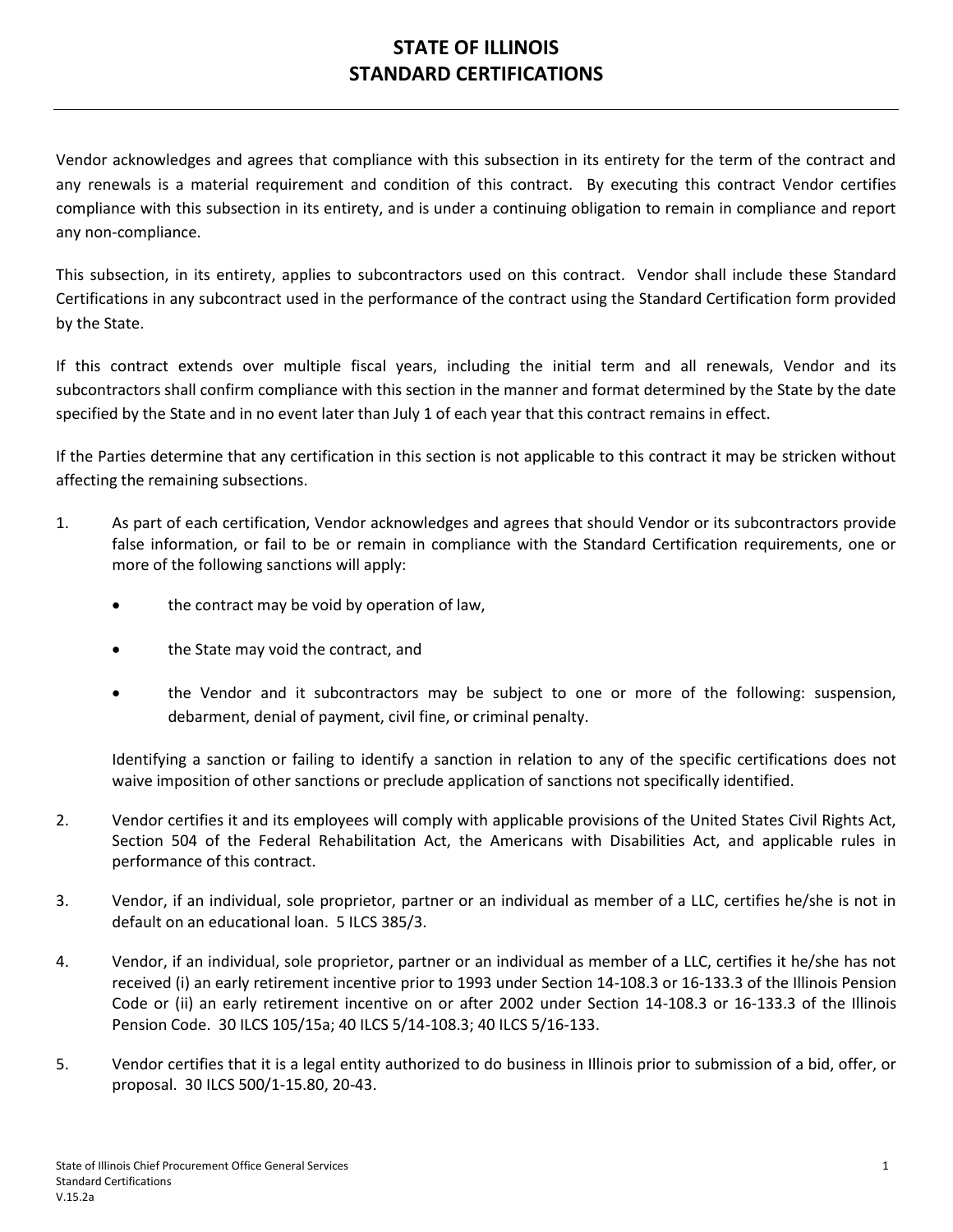## **STATE OF ILLINOIS STANDARD CERTIFICATIONS**

Vendor acknowledges and agrees that compliance with this subsection in its entirety for the term of the contract and any renewals is a material requirement and condition of this contract. By executing this contract Vendor certifies compliance with this subsection in its entirety, and is under a continuing obligation to remain in compliance and report any non-compliance.

This subsection, in its entirety, applies to subcontractors used on this contract. Vendor shall include these Standard Certifications in any subcontract used in the performance of the contract using the Standard Certification form provided by the State.

If this contract extends over multiple fiscal years, including the initial term and all renewals, Vendor and its subcontractors shall confirm compliance with this section in the manner and format determined by the State by the date specified by the State and in no event later than July 1 of each year that this contract remains in effect.

If the Parties determine that any certification in this section is not applicable to this contract it may be stricken without affecting the remaining subsections.

- 1. As part of each certification, Vendor acknowledges and agrees that should Vendor or its subcontractors provide false information, or fail to be or remain in compliance with the Standard Certification requirements, one or more of the following sanctions will apply:
	- the contract may be void by operation of law,
	- the State may void the contract, and
	- the Vendor and it subcontractors may be subject to one or more of the following: suspension, debarment, denial of payment, civil fine, or criminal penalty.

Identifying a sanction or failing to identify a sanction in relation to any of the specific certifications does not waive imposition of other sanctions or preclude application of sanctions not specifically identified.

- 2. Vendor certifies it and its employees will comply with applicable provisions of the United States Civil Rights Act, Section 504 of the Federal Rehabilitation Act, the Americans with Disabilities Act, and applicable rules in performance of this contract.
- 3. Vendor, if an individual, sole proprietor, partner or an individual as member of a LLC, certifies he/she is not in default on an educational loan. 5 ILCS 385/3.
- 4. Vendor, if an individual, sole proprietor, partner or an individual as member of a LLC, certifies it he/she has not received (i) an early retirement incentive prior to 1993 under Section 14-108.3 or 16-133.3 of the Illinois Pension Code or (ii) an early retirement incentive on or after 2002 under Section 14-108.3 or 16-133.3 of the Illinois Pension Code. 30 ILCS 105/15a; 40 ILCS 5/14-108.3; 40 ILCS 5/16-133.
- 5. Vendor certifies that it is a legal entity authorized to do business in Illinois prior to submission of a bid, offer, or proposal. 30 ILCS 500/1-15.80, 20-43.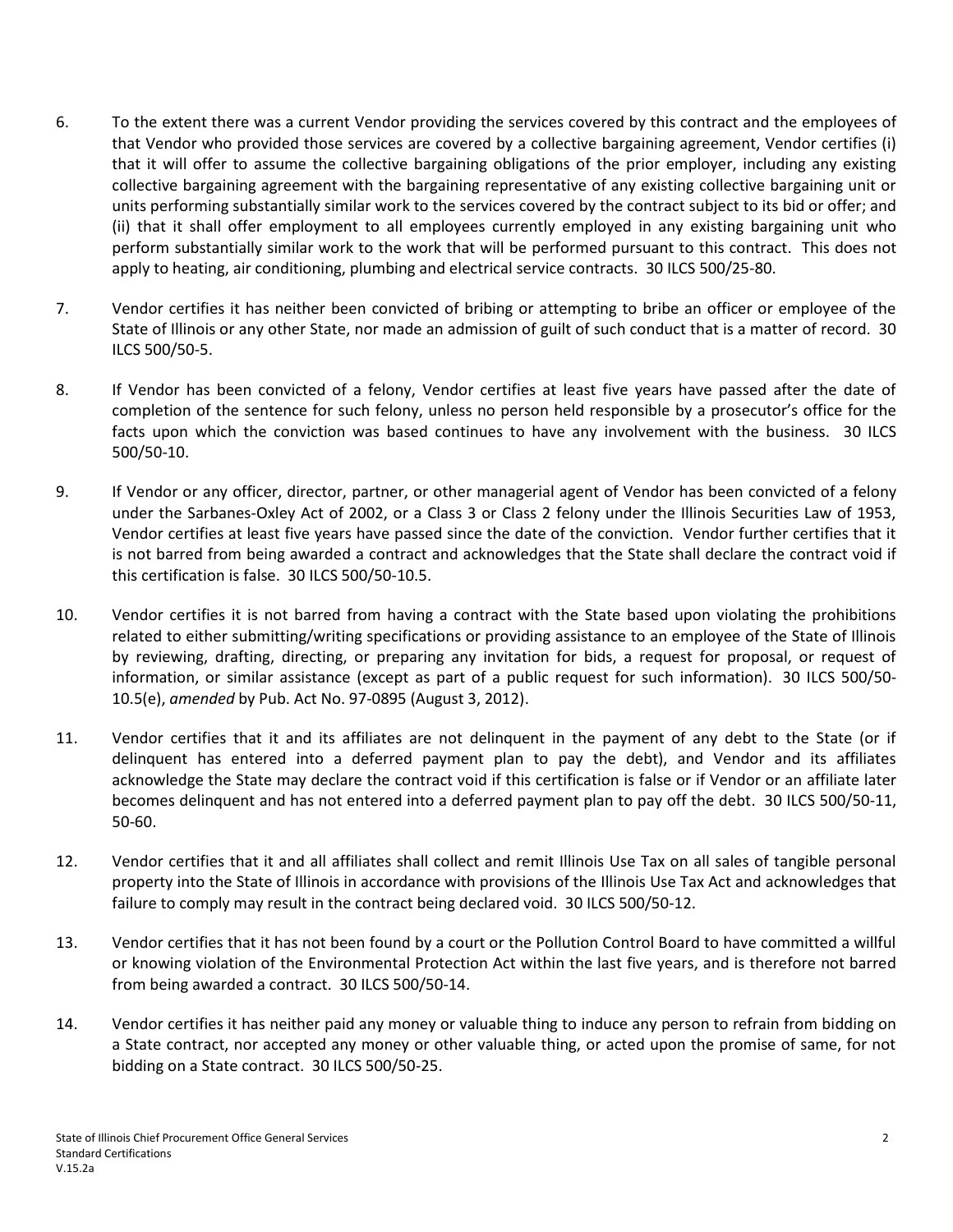- 6. To the extent there was a current Vendor providing the services covered by this contract and the employees of that Vendor who provided those services are covered by a collective bargaining agreement, Vendor certifies (i) that it will offer to assume the collective bargaining obligations of the prior employer, including any existing collective bargaining agreement with the bargaining representative of any existing collective bargaining unit or units performing substantially similar work to the services covered by the contract subject to its bid or offer; and (ii) that it shall offer employment to all employees currently employed in any existing bargaining unit who perform substantially similar work to the work that will be performed pursuant to this contract. This does not apply to heating, air conditioning, plumbing and electrical service contracts. 30 ILCS 500/25-80.
- 7. Vendor certifies it has neither been convicted of bribing or attempting to bribe an officer or employee of the State of Illinois or any other State, nor made an admission of guilt of such conduct that is a matter of record. 30 ILCS 500/50-5.
- 8. If Vendor has been convicted of a felony, Vendor certifies at least five years have passed after the date of completion of the sentence for such felony, unless no person held responsible by a prosecutor's office for the facts upon which the conviction was based continues to have any involvement with the business. 30 ILCS 500/50-10.
- 9. If Vendor or any officer, director, partner, or other managerial agent of Vendor has been convicted of a felony under the Sarbanes-Oxley Act of 2002, or a Class 3 or Class 2 felony under the Illinois Securities Law of 1953, Vendor certifies at least five years have passed since the date of the conviction. Vendor further certifies that it is not barred from being awarded a contract and acknowledges that the State shall declare the contract void if this certification is false. 30 ILCS 500/50-10.5.
- 10. Vendor certifies it is not barred from having a contract with the State based upon violating the prohibitions related to either submitting/writing specifications or providing assistance to an employee of the State of Illinois by reviewing, drafting, directing, or preparing any invitation for bids, a request for proposal, or request of information, or similar assistance (except as part of a public request for such information). 30 ILCS 500/50- 10.5(e), *amended* by Pub. Act No. 97-0895 (August 3, 2012).
- 11. Vendor certifies that it and its affiliates are not delinquent in the payment of any debt to the State (or if delinquent has entered into a deferred payment plan to pay the debt), and Vendor and its affiliates acknowledge the State may declare the contract void if this certification is false or if Vendor or an affiliate later becomes delinquent and has not entered into a deferred payment plan to pay off the debt. 30 ILCS 500/50-11, 50-60.
- 12. Vendor certifies that it and all affiliates shall collect and remit Illinois Use Tax on all sales of tangible personal property into the State of Illinois in accordance with provisions of the Illinois Use Tax Act and acknowledges that failure to comply may result in the contract being declared void. 30 ILCS 500/50-12.
- 13. Vendor certifies that it has not been found by a court or the Pollution Control Board to have committed a willful or knowing violation of the Environmental Protection Act within the last five years, and is therefore not barred from being awarded a contract. 30 ILCS 500/50-14.
- 14. Vendor certifies it has neither paid any money or valuable thing to induce any person to refrain from bidding on a State contract, nor accepted any money or other valuable thing, or acted upon the promise of same, for not bidding on a State contract. 30 ILCS 500/50-25.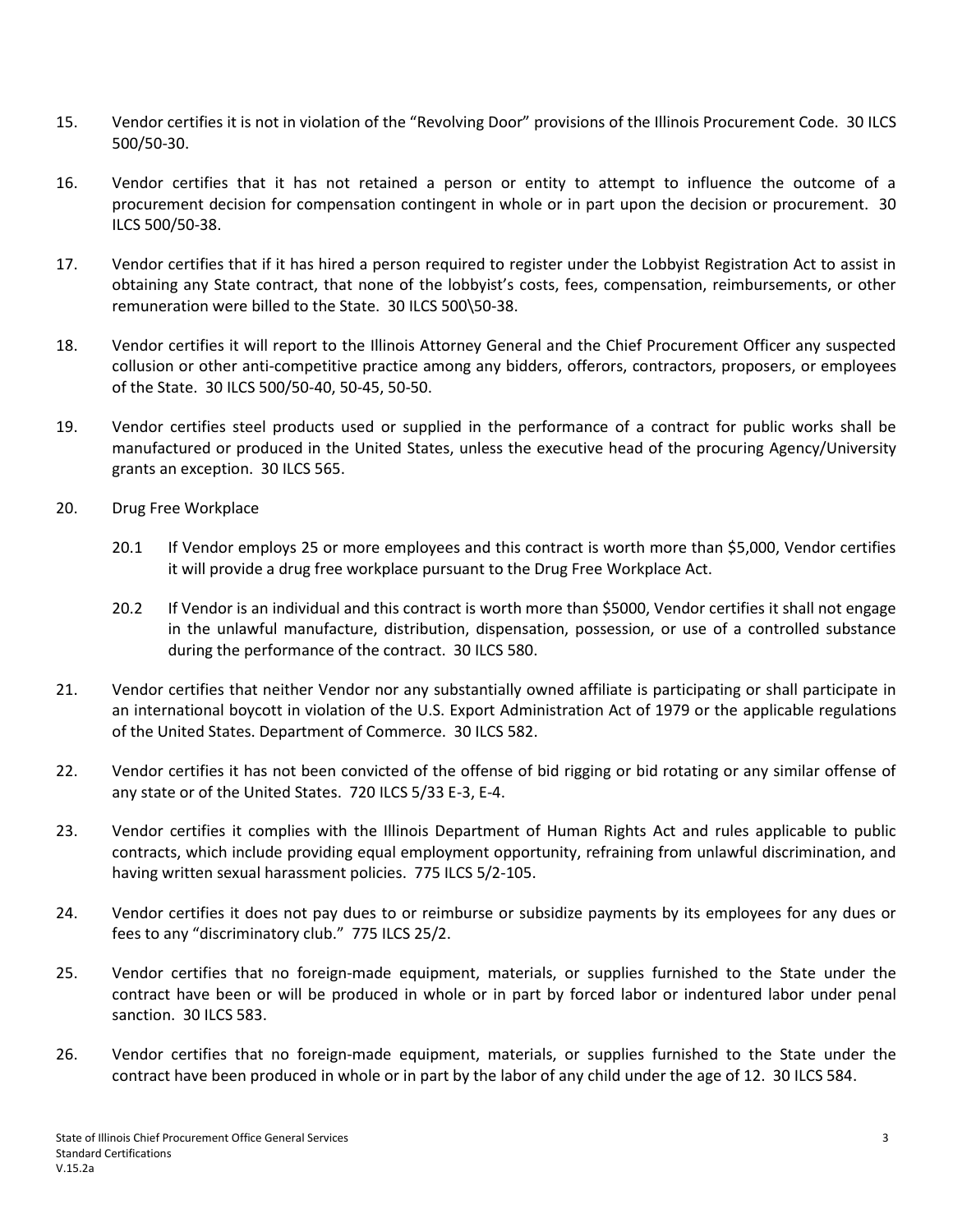- 15. Vendor certifies it is not in violation of the "Revolving Door" provisions of the Illinois Procurement Code. 30 ILCS 500/50-30.
- 16. Vendor certifies that it has not retained a person or entity to attempt to influence the outcome of a procurement decision for compensation contingent in whole or in part upon the decision or procurement. 30 ILCS 500/50-38.
- 17. Vendor certifies that if it has hired a person required to register under the Lobbyist Registration Act to assist in obtaining any State contract, that none of the lobbyist's costs, fees, compensation, reimbursements, or other remuneration were billed to the State. 30 ILCS 500\50-38.
- 18. Vendor certifies it will report to the Illinois Attorney General and the Chief Procurement Officer any suspected collusion or other anti-competitive practice among any bidders, offerors, contractors, proposers, or employees of the State. 30 ILCS 500/50-40, 50-45, 50-50.
- 19. Vendor certifies steel products used or supplied in the performance of a contract for public works shall be manufactured or produced in the United States, unless the executive head of the procuring Agency/University grants an exception. 30 ILCS 565.
- 20. Drug Free Workplace
	- 20.1 If Vendor employs 25 or more employees and this contract is worth more than \$5,000, Vendor certifies it will provide a drug free workplace pursuant to the Drug Free Workplace Act.
	- 20.2 If Vendor is an individual and this contract is worth more than \$5000, Vendor certifies it shall not engage in the unlawful manufacture, distribution, dispensation, possession, or use of a controlled substance during the performance of the contract. 30 ILCS 580.
- 21. Vendor certifies that neither Vendor nor any substantially owned affiliate is participating or shall participate in an international boycott in violation of the U.S. Export Administration Act of 1979 or the applicable regulations of the United States. Department of Commerce. 30 ILCS 582.
- 22. Vendor certifies it has not been convicted of the offense of bid rigging or bid rotating or any similar offense of any state or of the United States. 720 ILCS 5/33 E-3, E-4.
- 23. Vendor certifies it complies with the Illinois Department of Human Rights Act and rules applicable to public contracts, which include providing equal employment opportunity, refraining from unlawful discrimination, and having written sexual harassment policies. 775 ILCS 5/2-105.
- 24. Vendor certifies it does not pay dues to or reimburse or subsidize payments by its employees for any dues or fees to any "discriminatory club." 775 ILCS 25/2.
- 25. Vendor certifies that no foreign-made equipment, materials, or supplies furnished to the State under the contract have been or will be produced in whole or in part by forced labor or indentured labor under penal sanction. 30 ILCS 583.
- 26. Vendor certifies that no foreign-made equipment, materials, or supplies furnished to the State under the contract have been produced in whole or in part by the labor of any child under the age of 12. 30 ILCS 584.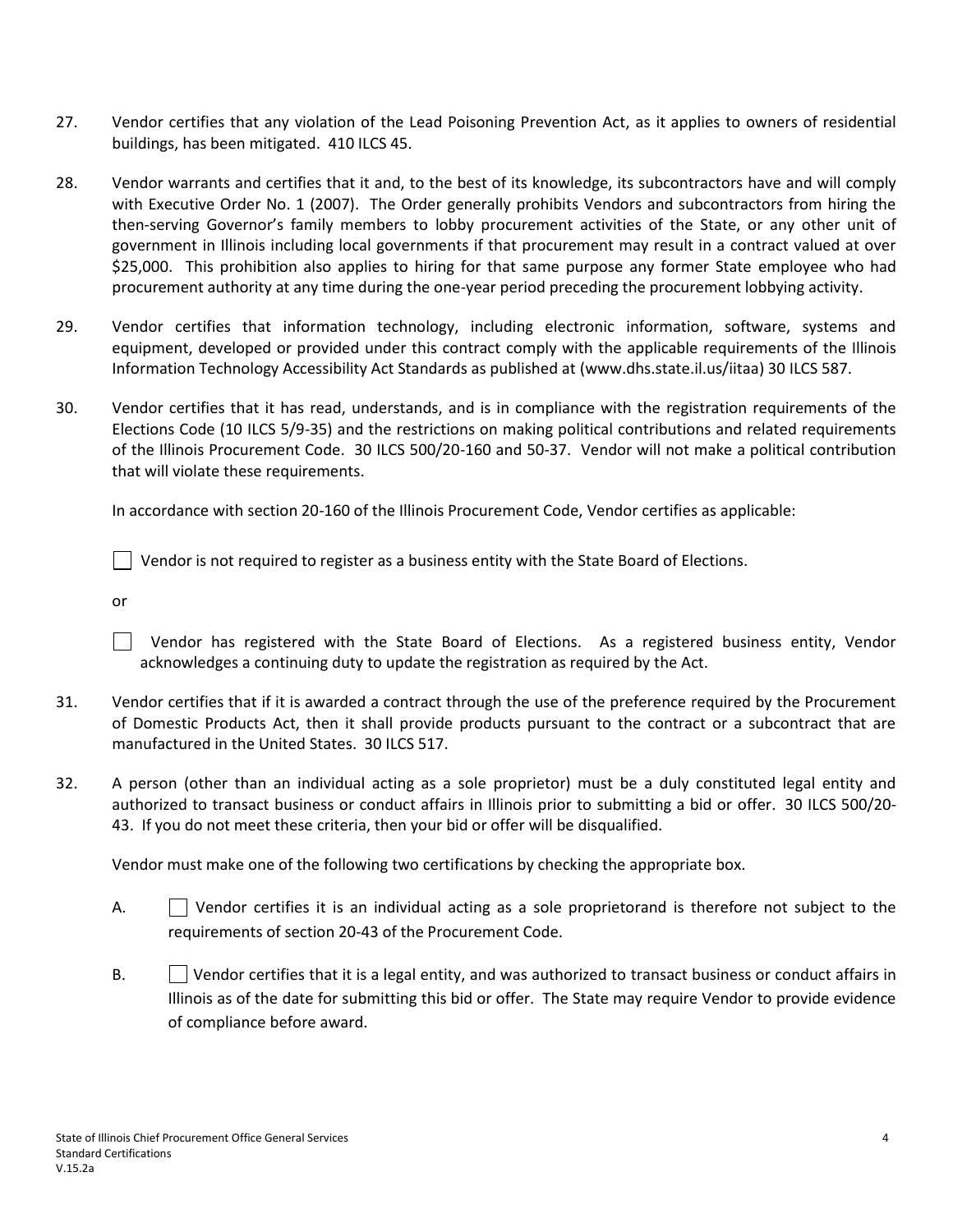- 27. Vendor certifies that any violation of the Lead Poisoning Prevention Act, as it applies to owners of residential buildings, has been mitigated. 410 ILCS 45.
- 28. Vendor warrants and certifies that it and, to the best of its knowledge, its subcontractors have and will comply with Executive Order No. 1 (2007). The Order generally prohibits Vendors and subcontractors from hiring the then-serving Governor's family members to lobby procurement activities of the State, or any other unit of government in Illinois including local governments if that procurement may result in a contract valued at over \$25,000. This prohibition also applies to hiring for that same purpose any former State employee who had procurement authority at any time during the one-year period preceding the procurement lobbying activity.
- 29. Vendor certifies that information technology, including electronic information, software, systems and equipment, developed or provided under this contract comply with the applicable requirements of the Illinois Information Technology Accessibility Act Standards as published at [\(www.dhs.state.il.us/iitaa\)](http://www.dhs.state.il.us/iitaa) 30 ILCS 587.
- 30. Vendor certifies that it has read, understands, and is in compliance with the registration requirements of the Elections Code (10 ILCS 5/9-35) and the restrictions on making political contributions and related requirements of the Illinois Procurement Code. 30 ILCS 500/20-160 and 50-37. Vendor will not make a political contribution that will violate these requirements.

In accordance with section 20-160 of the Illinois Procurement Code, Vendor certifies as applicable:

 $\Box$  Vendor is not required to register as a business entity with the State Board of Elections.

or

 Vendor has registered with the State Board of Elections. As a registered business entity, Vendor acknowledges a continuing duty to update the registration as required by the Act.

- 31. Vendor certifies that if it is awarded a contract through the use of the preference required by the Procurement of Domestic Products Act, then it shall provide products pursuant to the contract or a subcontract that are manufactured in the United States. 30 ILCS 517.
- 32. A person (other than an individual acting as a sole proprietor) must be a duly constituted legal entity and authorized to transact business or conduct affairs in Illinois prior to submitting a bid or offer. 30 ILCS 500/20- 43. If you do not meet these criteria, then your bid or offer will be disqualified.

Vendor must make one of the following two certifications by checking the appropriate box.

- A.  $\vert$  Vendor certifies it is an individual acting as a sole proprietorand is therefore not subject to the requirements of section 20-43 of the Procurement Code.
- B.  $\Box$  Vendor certifies that it is a legal entity, and was authorized to transact business or conduct affairs in Illinois as of the date for submitting this bid or offer. The State may require Vendor to provide evidence of compliance before award.